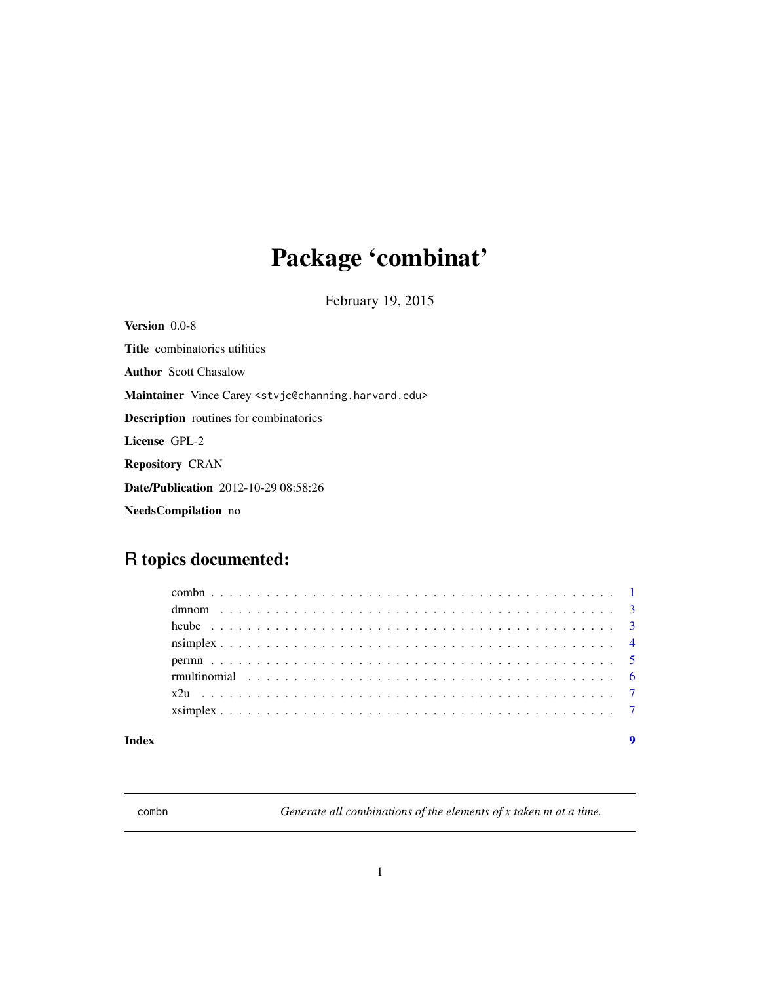## <span id="page-0-0"></span>Package 'combinat'

February 19, 2015

Version 0.0-8 Title combinatorics utilities Author Scott Chasalow Maintainer Vince Carey <stvjc@channing.harvard.edu> Description routines for combinatorics License GPL-2 Repository CRAN Date/Publication 2012-10-29 08:58:26 NeedsCompilation no

## R topics documented:

## **Index** [9](#page-8-0)

combn *Generate all combinations of the elements of x taken m at a time.*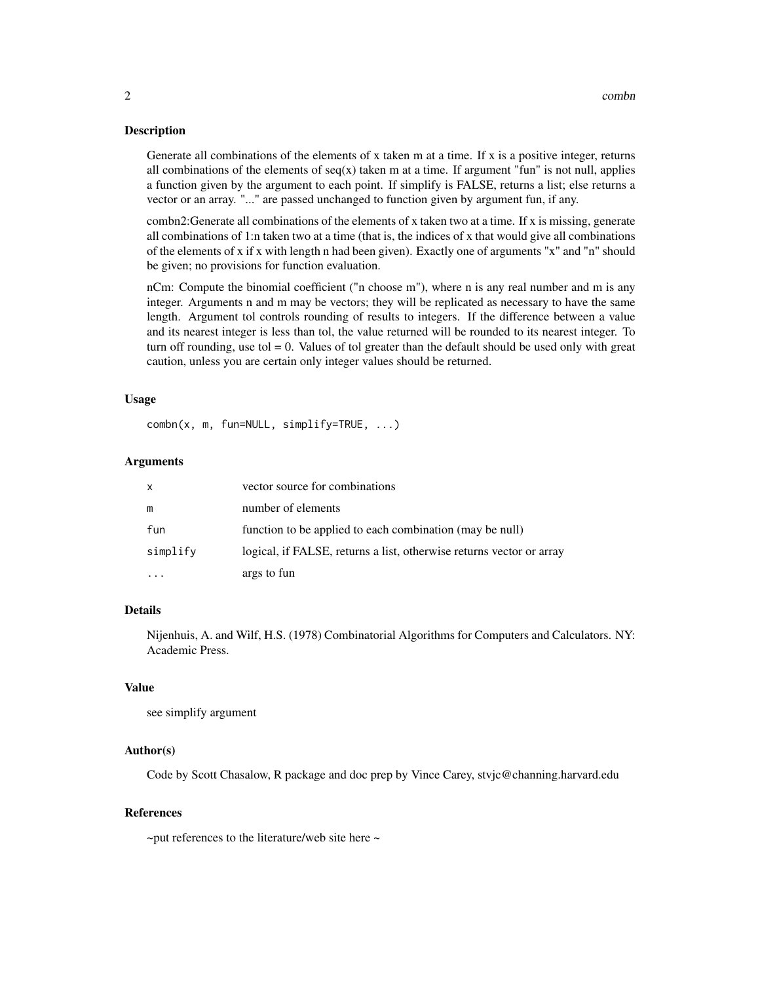## Description

Generate all combinations of the elements of x taken m at a time. If x is a positive integer, returns all combinations of the elements of  $seq(x)$  taken m at a time. If argument "fun" is not null, applies a function given by the argument to each point. If simplify is FALSE, returns a list; else returns a vector or an array. "..." are passed unchanged to function given by argument fun, if any.

combn2:Generate all combinations of the elements of x taken two at a time. If x is missing, generate all combinations of 1:n taken two at a time (that is, the indices of x that would give all combinations of the elements of x if x with length n had been given). Exactly one of arguments "x" and "n" should be given; no provisions for function evaluation.

nCm: Compute the binomial coefficient ("n choose m"), where n is any real number and m is any integer. Arguments n and m may be vectors; they will be replicated as necessary to have the same length. Argument tol controls rounding of results to integers. If the difference between a value and its nearest integer is less than tol, the value returned will be rounded to its nearest integer. To turn off rounding, use tol  $= 0$ . Values of tol greater than the default should be used only with great caution, unless you are certain only integer values should be returned.

#### Usage

combn(x, m, fun=NULL, simplify=TRUE, ...)

#### Arguments

| X        | vector source for combinations                                       |
|----------|----------------------------------------------------------------------|
| m        | number of elements                                                   |
| fun      | function to be applied to each combination (may be null)             |
| simplify | logical, if FALSE, returns a list, otherwise returns vector or array |
|          | args to fun                                                          |

## **Details**

Nijenhuis, A. and Wilf, H.S. (1978) Combinatorial Algorithms for Computers and Calculators. NY: Academic Press.

### Value

see simplify argument

## Author(s)

Code by Scott Chasalow, R package and doc prep by Vince Carey, stvjc@channing.harvard.edu

## References

 $\sim$ put references to the literature/web site here  $\sim$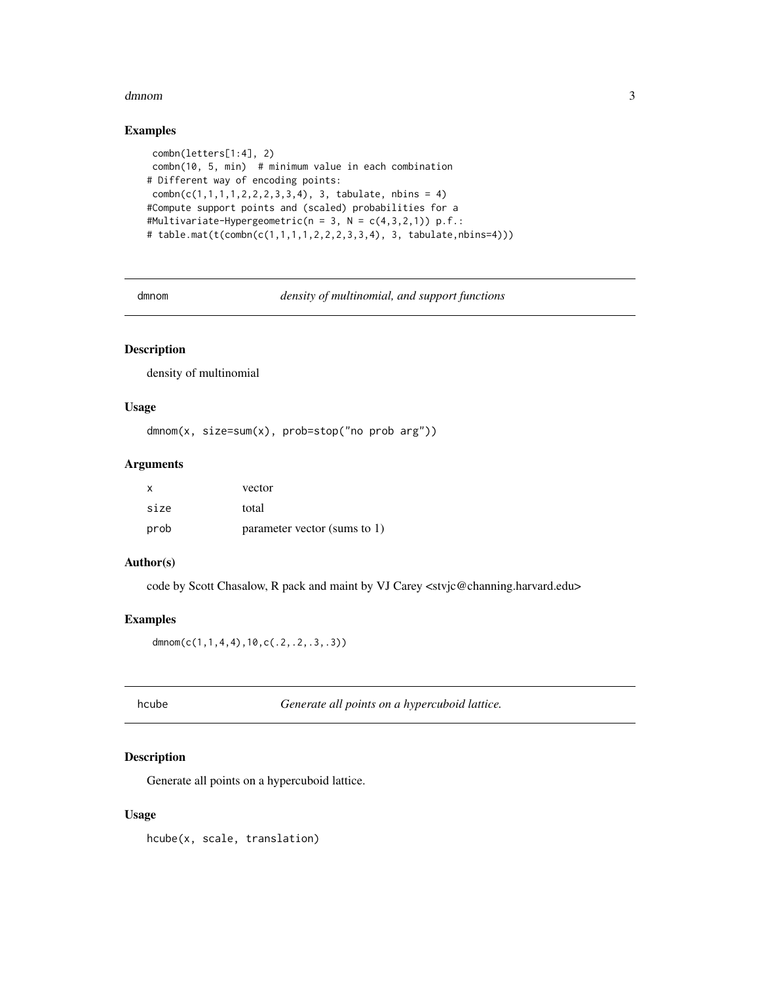#### <span id="page-2-0"></span>dmnom 3

## Examples

```
combn(letters[1:4], 2)
combn(10, 5, min) # minimum value in each combination
# Different way of encoding points:
combn(c(1,1,1,1,2,2,2,3,3,4), 3, tabulate, \n  hbins = 4)#Compute support points and (scaled) probabilities for a
#Multivariate-Hypergeometric(n = 3, N = c(4,3,2,1)) p.f.:
# table.mat(t(combn(c(1,1,1,1,2,2,2,3,3,4), 3, tabulate,nbins=4)))
```
dmnom *density of multinomial, and support functions*

## Description

density of multinomial

## Usage

```
dmnom(x, size=sum(x), prob=stop("no prob arg"))
```
## Arguments

| $\mathsf{x}$ | vector                       |
|--------------|------------------------------|
| size         | total                        |
| prob         | parameter vector (sums to 1) |

## Author(s)

code by Scott Chasalow, R pack and maint by VJ Carey <stvjc@channing.harvard.edu>

## Examples

```
dmnom(c(1,1,4,4),10,c(.2,.2,.3,.3))
```
hcube *Generate all points on a hypercuboid lattice.*

## Description

Generate all points on a hypercuboid lattice.

## Usage

hcube(x, scale, translation)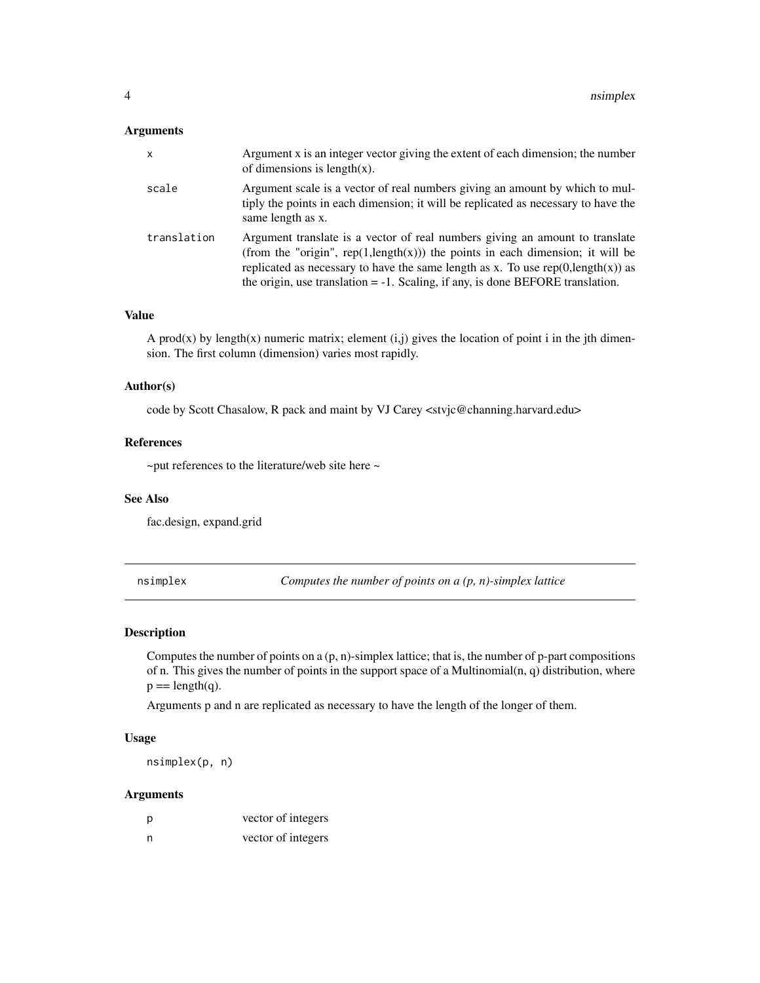## <span id="page-3-0"></span>Arguments

| X           | Argument x is an integer vector giving the extent of each dimension; the number<br>of dimensions is $length(x)$ .                                                                                                                                                                                                                             |
|-------------|-----------------------------------------------------------------------------------------------------------------------------------------------------------------------------------------------------------------------------------------------------------------------------------------------------------------------------------------------|
| scale       | Argument scale is a vector of real numbers giving an amount by which to mul-<br>tiply the points in each dimension; it will be replicated as necessary to have the<br>same length as x.                                                                                                                                                       |
| translation | Argument translate is a vector of real numbers giving an amount to translate<br>(from the "origin", $rep(1, length(x))$ ) the points in each dimension; it will be<br>replicated as necessary to have the same length as x. To use $rep(0.length(x))$ as<br>the origin, use translation $= -1$ . Scaling, if any, is done BEFORE translation. |

## Value

A prod(x) by length(x) numeric matrix; element  $(i,j)$  gives the location of point i in the jth dimension. The first column (dimension) varies most rapidly.

#### Author(s)

code by Scott Chasalow, R pack and maint by VJ Carey <stvjc@channing.harvard.edu>

## References

~put references to the literature/web site here ~

## See Also

fac.design, expand.grid

nsimplex *Computes the number of points on a (p, n)-simplex lattice*

## Description

Computes the number of points on  $a(p, n)$ -simplex lattice; that is, the number of p-part compositions of n. This gives the number of points in the support space of a Multinomial $(n, q)$  distribution, where  $p == length(q)$ .

Arguments p and n are replicated as necessary to have the length of the longer of them.

## Usage

nsimplex(p, n)

## Arguments

| p | vector of integers |
|---|--------------------|
| n | vector of integers |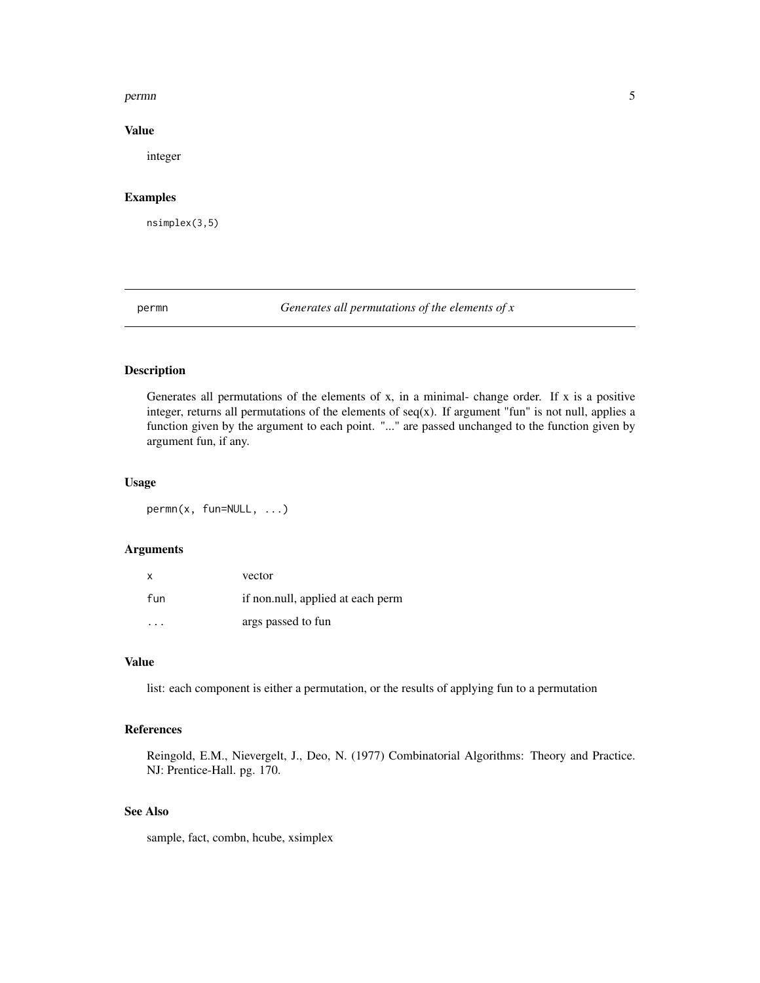## <span id="page-4-0"></span>permn 5

## Value

integer

## Examples

nsimplex(3,5)

permn *Generates all permutations of the elements of x*

## Description

Generates all permutations of the elements of x, in a minimal- change order. If x is a positive integer, returns all permutations of the elements of  $seq(x)$ . If argument "fun" is not null, applies a function given by the argument to each point. "..." are passed unchanged to the function given by argument fun, if any.

## Usage

permn(x, fun=NULL, ...)

### Arguments

| $\mathsf{x}$ | vector                            |
|--------------|-----------------------------------|
| fun          | if non.null, applied at each perm |
| .            | args passed to fun                |

## Value

list: each component is either a permutation, or the results of applying fun to a permutation

## References

Reingold, E.M., Nievergelt, J., Deo, N. (1977) Combinatorial Algorithms: Theory and Practice. NJ: Prentice-Hall. pg. 170.

## See Also

sample, fact, combn, hcube, xsimplex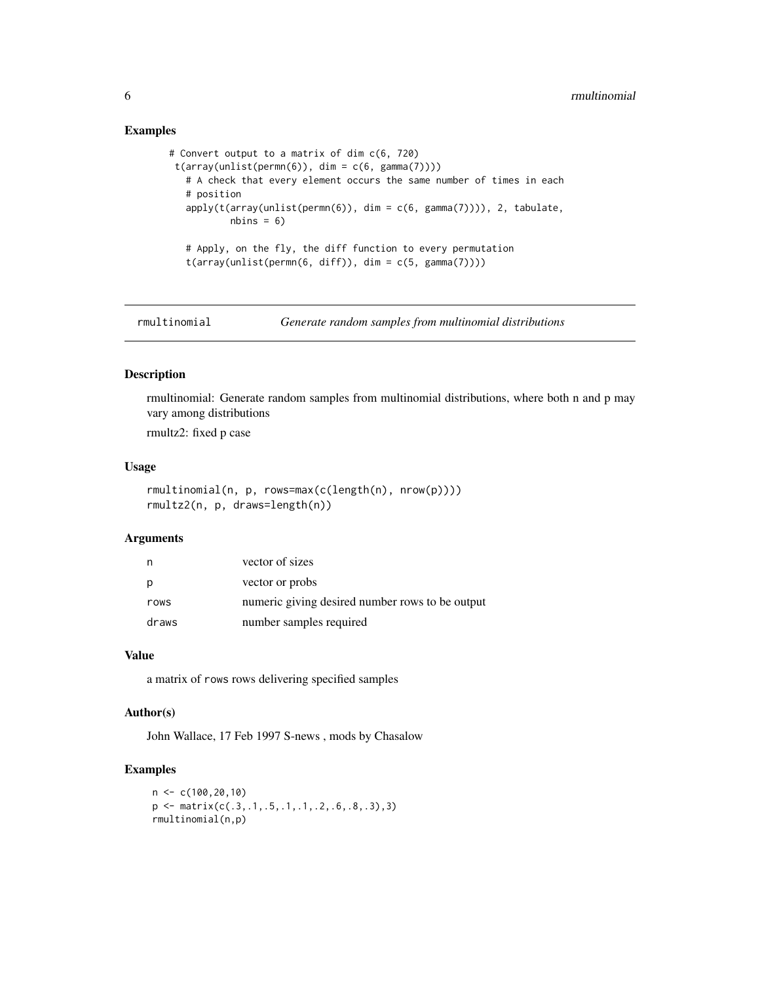## Examples

```
# Convert output to a matrix of dim c(6, 720)
t(array(unlist(permn(6)), dim = c(6, gamma(7))))# A check that every element occurs the same number of times in each
  # position
  apply(t(array(unlist(permn(6)), dim = c(6, gamma(7)))), 2, tabulate,
           nbins = 6# Apply, on the fly, the diff function to every permutation
  t(array(unlist(permn(6, diff)), dim = c(5, gamma(7))))
```

```
rmultinomial Generate random samples from multinomial distributions
```
## Description

rmultinomial: Generate random samples from multinomial distributions, where both n and p may vary among distributions

rmultz2: fixed p case

#### Usage

```
rmultinomial(n, p, rows=max(c(length(n), nrow(p))))
rmultz2(n, p, draws=length(n))
```
## Arguments

| n     | vector of sizes                                 |
|-------|-------------------------------------------------|
| p     | vector or probs                                 |
| rows  | numeric giving desired number rows to be output |
| draws | number samples required                         |

## Value

a matrix of rows rows delivering specified samples

## Author(s)

John Wallace, 17 Feb 1997 S-news , mods by Chasalow

#### Examples

```
n < -c(100, 20, 10)p <- matrix(c(.3,.1,.5,.1,.1,.2,.6,.8,.3),3)
rmultinomial(n,p)
```
<span id="page-5-0"></span>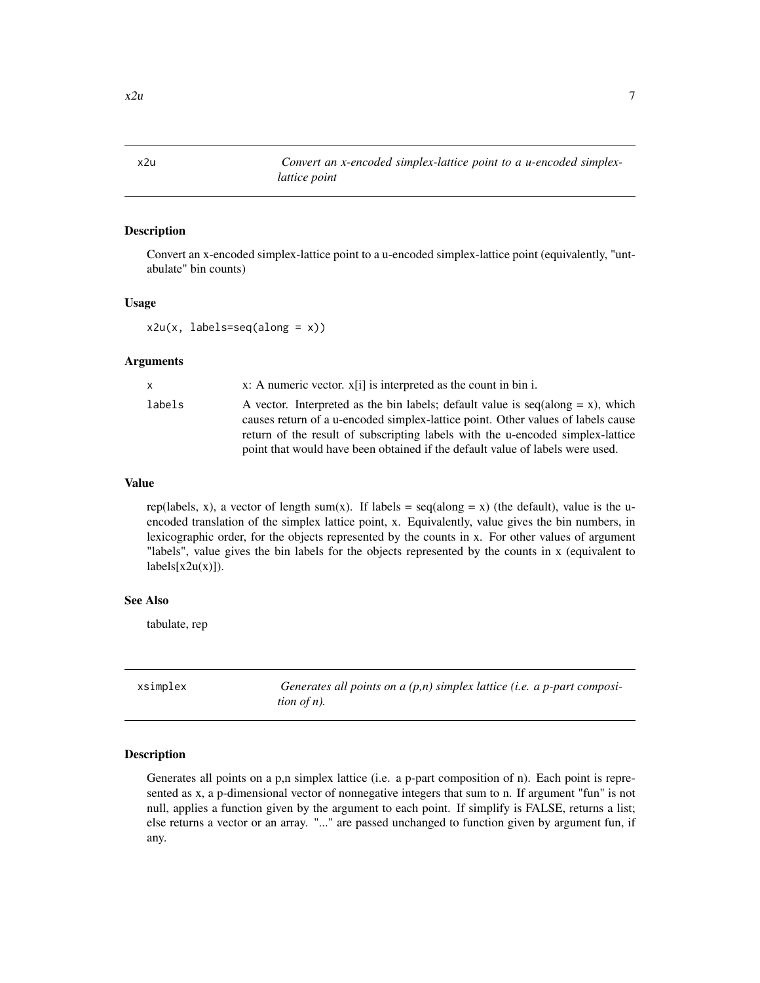<span id="page-6-0"></span>x2u *Convert an x-encoded simplex-lattice point to a u-encoded simplexlattice point*

## **Description**

Convert an x-encoded simplex-lattice point to a u-encoded simplex-lattice point (equivalently, "untabulate" bin counts)

### Usage

 $x2u(x, labels=seq(along = x))$ 

## Arguments

| x.     | x: A numeric vector. $x[i]$ is interpreted as the count in bin i.                                                                                                                                                                                                                                                                         |
|--------|-------------------------------------------------------------------------------------------------------------------------------------------------------------------------------------------------------------------------------------------------------------------------------------------------------------------------------------------|
| labels | A vector. Interpreted as the bin labels; default value is seq(along $= x$ ), which<br>causes return of a u-encoded simplex-lattice point. Other values of labels cause<br>return of the result of subscripting labels with the u-encoded simplex-lattice<br>point that would have been obtained if the default value of labels were used. |

## Value

rep(labels, x), a vector of length sum(x). If labels =  $seq(along = x)$  (the default), value is the uencoded translation of the simplex lattice point, x. Equivalently, value gives the bin numbers, in lexicographic order, for the objects represented by the counts in x. For other values of argument "labels", value gives the bin labels for the objects represented by the counts in x (equivalent to  $labels[x2u(x)]$ ).

## See Also

tabulate, rep

xsimplex *Generates all points on a (p,n) simplex lattice (i.e. a p-part composition of n).*

## Description

Generates all points on a p,n simplex lattice (i.e. a p-part composition of n). Each point is represented as x, a p-dimensional vector of nonnegative integers that sum to n. If argument "fun" is not null, applies a function given by the argument to each point. If simplify is FALSE, returns a list; else returns a vector or an array. "..." are passed unchanged to function given by argument fun, if any.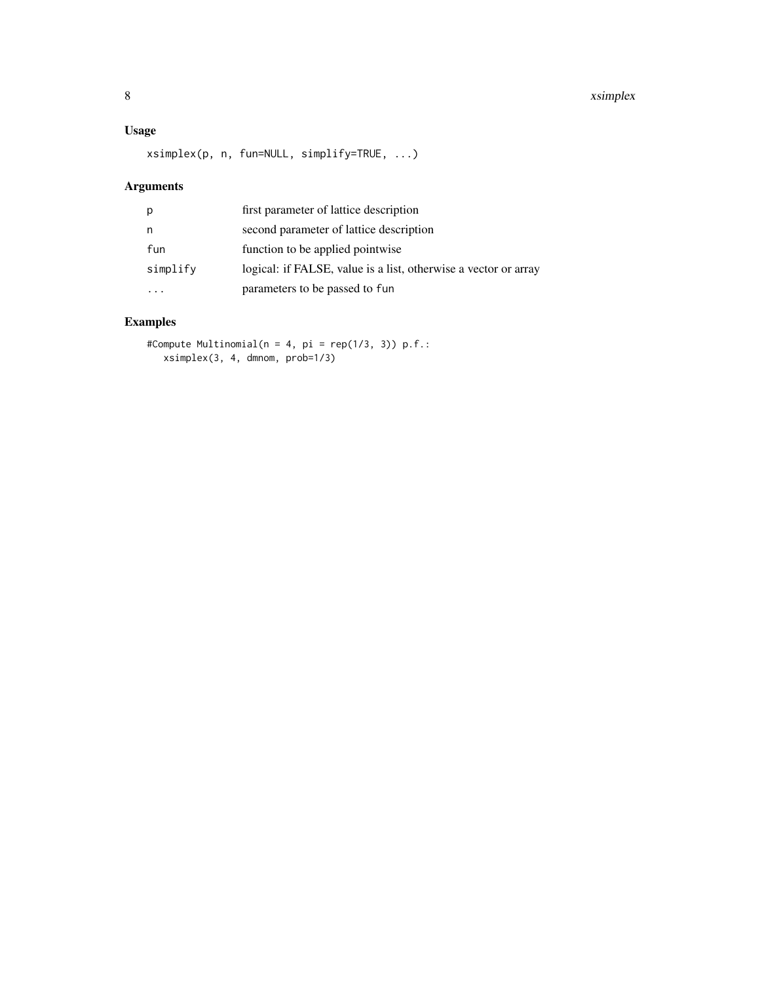#### 8 xsimplex

## Usage

xsimplex(p, n, fun=NULL, simplify=TRUE, ...)

## Arguments

| p        | first parameter of lattice description                          |
|----------|-----------------------------------------------------------------|
| n        | second parameter of lattice description                         |
| fun      | function to be applied pointwise                                |
| simplify | logical: if FALSE, value is a list, otherwise a vector or array |
|          | parameters to be passed to fun                                  |

## Examples

#Compute Multinomial(n = 4, pi = rep(1/3, 3)) p.f.: xsimplex(3, 4, dmnom, prob=1/3)